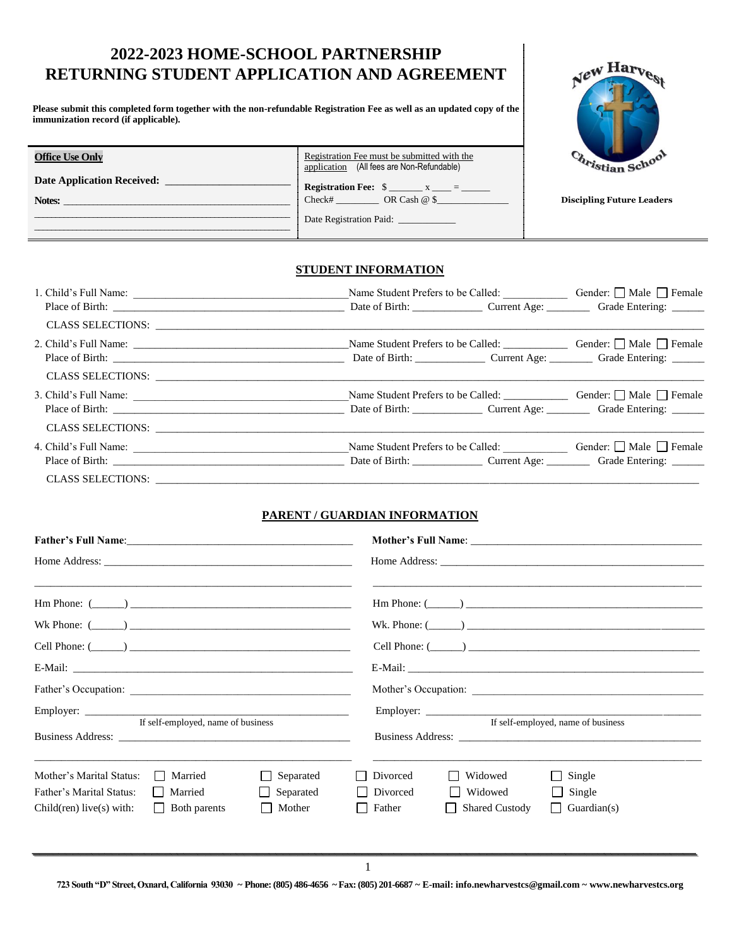# **2022-2023 HOME-SCHOOL PARTNERSHIP RETURNING STUDENT APPLICATION AND AGREEMENT**

**Please submit this completed form together with the non-refundable Registration Fee as well as an updated copy of the immunization record (if applicable).**

**Office Use Only**

**Notes:** \_\_\_\_\_\_\_\_\_\_\_\_\_\_\_\_\_\_\_\_\_\_\_\_\_\_\_\_\_\_\_\_\_\_\_\_\_\_\_\_\_\_\_\_\_\_\_\_\_\_\_\_\_\_

Date Application Received: \_\_\_\_\_\_

\_\_\_\_\_\_\_\_\_\_\_\_\_\_\_\_\_\_\_\_\_\_\_\_\_\_\_\_\_\_\_\_\_\_\_\_\_\_\_\_\_\_\_\_\_\_\_\_\_\_\_\_\_\_\_\_\_\_\_\_\_ \_\_\_\_\_\_\_\_\_\_\_\_\_\_\_\_\_\_\_\_\_\_\_\_\_\_\_\_\_\_\_\_\_\_\_\_\_\_\_\_\_\_\_\_\_\_\_\_\_\_\_\_\_\_\_\_\_\_\_\_\_



**Discipling Future Leaders**

### **STUDENT INFORMATION**

Date Registration Paid: \_

Registration Fee must be submitted with the application (All fees are Non-Refundable) **Registration Fee:**  $\frac{1}{2}$   $\frac{1}{2}$   $\frac{1}{2}$   $\frac{1}{2}$   $\frac{1}{2}$   $\frac{1}{2}$   $\frac{1}{2}$   $\frac{1}{2}$   $\frac{1}{2}$   $\frac{1}{2}$   $\frac{1}{2}$   $\frac{1}{2}$   $\frac{1}{2}$   $\frac{1}{2}$   $\frac{1}{2}$   $\frac{1}{2}$   $\frac{1}{2}$   $\frac{1}{2}$   $\frac{1}{2}$   $\frac{1}{2}$   $\$ Check# \_\_\_\_\_\_\_\_\_\_\_\_\_\_\_\_\_ OR Cash @ \$

|                   | Name Student Prefers to be Called: Gender: □ Male □ Female                                                                                                                                                                    |  |  |
|-------------------|-------------------------------------------------------------------------------------------------------------------------------------------------------------------------------------------------------------------------------|--|--|
| CLASS SELECTIONS: |                                                                                                                                                                                                                               |  |  |
|                   | Place of Birth: Cambridge: Current Age: Current Age: Current Age: Current Age: Current Age: Current Age: Current Age: Current Age: Current Age: Current Age: Current Age: Current Age: Current Age: Current Age: Current Age: |  |  |
|                   |                                                                                                                                                                                                                               |  |  |
|                   | Name Student Prefers to be Called: <u>Called:</u> Gender: □ Male □ Female                                                                                                                                                     |  |  |
|                   |                                                                                                                                                                                                                               |  |  |
|                   | Name Student Prefers to be Called: <u>Called:</u> Gender: □ Male □ Female                                                                                                                                                     |  |  |
|                   |                                                                                                                                                                                                                               |  |  |

### **PARENT / GUARDIAN INFORMATION**

| $\text{Hm Phone: } (\_\_\_\_)$ |                                    |                  |          |                         | $\text{Hm Phone: } (\_\_\_\_)$     |
|--------------------------------|------------------------------------|------------------|----------|-------------------------|------------------------------------|
| Wk Phone: $(\_\_)$             |                                    |                  |          |                         | Wk. Phone: $(\_\_)$                |
| Cell Phone: $(\_\_)$           |                                    |                  |          |                         | $Cell$ Phone: $(\_\_)$             |
|                                |                                    |                  |          |                         |                                    |
|                                |                                    |                  |          |                         |                                    |
|                                | If self-employed, name of business |                  |          |                         | If self-employed, name of business |
|                                |                                    |                  |          |                         |                                    |
| Mother's Marital Status:       | Married<br>$\mathsf{L}$            | $\Box$ Separated | Divorced | Widowed<br>$\mathbf{I}$ | $\Box$ Single                      |
| Father's Marital Status:       | Married                            | $\Box$ Separated | Divorced | Widowed<br>$\Box$       | $\Box$ Single                      |
| $Children)$ live(s) with:      | $\Box$ Both parents                | Mother           | Father   | <b>Shared Custody</b>   | $\Box$ Guardian(s)                 |
|                                |                                    |                  |          |                         |                                    |
|                                |                                    |                  |          |                         |                                    |

**723 South "D" Street, Oxnard, California 93030 ~ Phone: (805) 486-4656 ~ Fax: (805) 201-6687 ~ E-mail: info.newharvestcs@gmail.com ~ www.newharvestcs.org**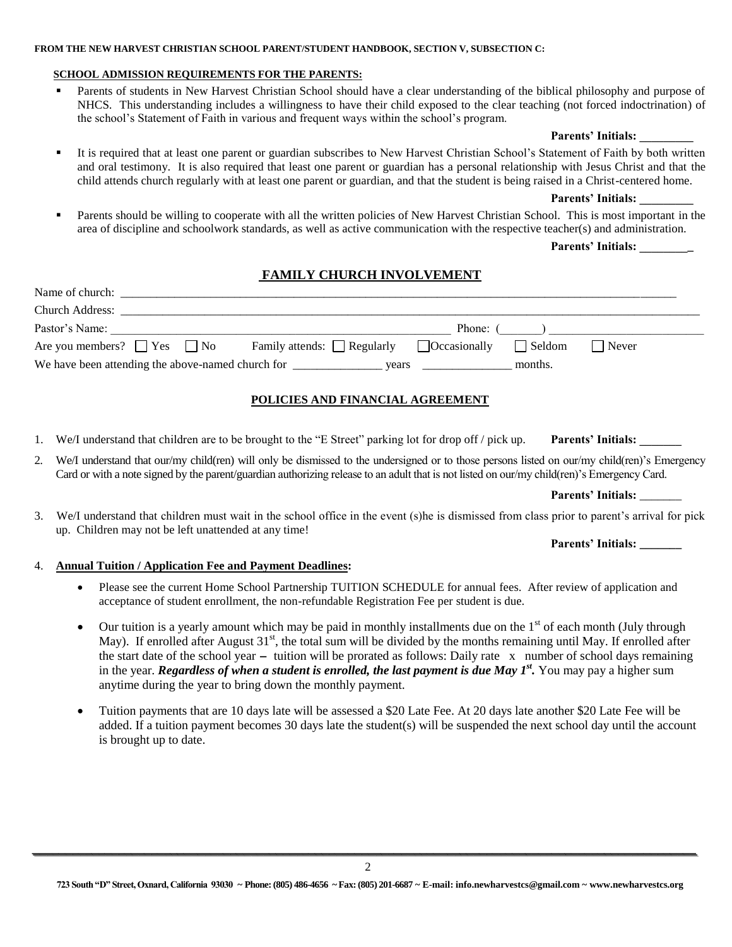#### **FROM THE NEW HARVEST CHRISTIAN SCHOOL PARENT/STUDENT HANDBOOK, SECTION V, SUBSECTION C:**

# **SCHOOL ADMISSION REQUIREMENTS FOR THE PARENTS:**

**Parents of students in New Harvest Christian School should have a clear understanding of the biblical philosophy and purpose of** NHCS. This understanding includes a willingness to have their child exposed to the clear teaching (not forced indoctrination) of the school's Statement of Faith in various and frequent ways within the school's program.

## **Parents' Initials: \_\_\_\_\_\_\_\_\_**

 It is required that at least one parent or guardian subscribes to New Harvest Christian School's Statement of Faith by both written and oral testimony. It is also required that least one parent or guardian has a personal relationship with Jesus Christ and that the child attends church regularly with at least one parent or guardian, and that the student is being raised in a Christ-centered home.

### **Parents' Initials: \_\_\_\_\_\_\_\_\_**

 Parents should be willing to cooperate with all the written policies of New Harvest Christian School. This is most important in the area of discipline and schoolwork standards, as well as active communication with the respective teacher(s) and administration.

**Parents' Initials: \_\_\_\_\_\_\_\_\_**

# **FAMILY CHURCH INVOLVEMENT**

| Church Address:<br>Pastor's Name:     |                                                      |  | Phone: ()     |              |  |  |  |  |
|---------------------------------------|------------------------------------------------------|--|---------------|--------------|--|--|--|--|
| Are you members? $\Box$ Yes $\Box$ No | Family attends: $\Box$ Regularly $\Box$ Occasionally |  | $\Box$ Seldom | $\Box$ Never |  |  |  |  |
|                                       |                                                      |  | months.       |              |  |  |  |  |
|                                       |                                                      |  |               |              |  |  |  |  |
| POLICIES AND FINANCIAL AGREEMENT      |                                                      |  |               |              |  |  |  |  |

### 1. We/I understand that children are to be brought to the "E Street" parking lot for drop off / pick up. **Parents' Initials:**

2. We/I understand that our/my child(ren) will only be dismissed to the undersigned or to those persons listed on our/my child(ren)'s Emergency Card or with a note signed by the parent/guardian authorizing release to an adult that is not listed on our/my child(ren)'s Emergency Card.

**Parents' Initials:** \_\_\_\_\_\_\_

3. We/I understand that children must wait in the school office in the event (s)he is dismissed from class prior to parent's arrival for pick up. Children may not be left unattended at any time!

**Parents' Initials: \_\_\_\_\_\_\_**

#### 4. **Annual Tuition / Application Fee and Payment Deadlines:**

- Please see the current Home School Partnership TUITION SCHEDULE for annual fees. After review of application and acceptance of student enrollment, the non-refundable Registration Fee per student is due.
- $\bullet$  Our tuition is a yearly amount which may be paid in monthly installments due on the 1<sup>st</sup> of each month (July through May). If enrolled after August  $31<sup>st</sup>$ , the total sum will be divided by the months remaining until May. If enrolled after the start date of the school year **-** tuition will be prorated as follows: Daily rate x number of school days remaining in the year. *Regardless of when a student is enrolled, the last payment is due May 1<sup>st</sup>. You may pay a higher sum* anytime during the year to bring down the monthly payment.
- Tuition payments that are 10 days late will be assessed a \$20 Late Fee. At 20 days late another \$20 Late Fee will be added. If a tuition payment becomes 30 days late the student(s) will be suspended the next school day until the account is brought up to date.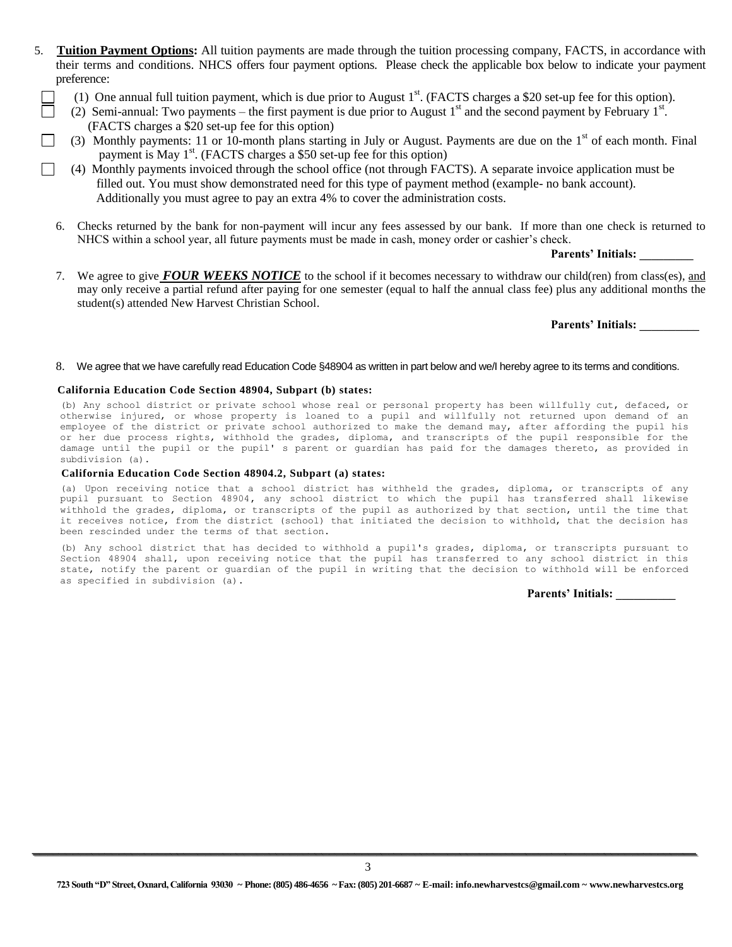- 5. **Tuition Payment Options:** All tuition payments are made through the tuition processing company, FACTS, in accordance with their terms and conditions. NHCS offers four payment options. Please check the applicable box below to indicate your payment preference:
- $\Box$  (1) One annual full tuition payment, which is due prior to August 1<sup>st</sup>. (FACTS charges a \$20 set-up fee for this option).
- $\Box$  (2) Semi-annual: Two payments the first payment is due prior to August 1<sup>st</sup> and the second payment by February 1<sup>st</sup>. (FACTS charges a \$20 set-up fee for this option)
	- (3) Monthly payments: 11 or 10-month plans starting in July or August. Payments are due on the  $1<sup>st</sup>$  of each month. Final payment is May 1<sup>st</sup>. (FACTS charges a \$50 set-up fee for this option)
- (4) Monthly payments invoiced through the school office (not through FACTS). A separate invoice application must be filled out. You must show demonstrated need for this type of payment method (example- no bank account). Additionally you must agree to pay an extra 4% to cover the administration costs.
	- 6. Checks returned by the bank for non-payment will incur any fees assessed by our bank. If more than one check is returned to NHCS within a school year, all future payments must be made in cash, money order or cashier's check.

**Parents' Initials: \_\_\_\_\_\_\_\_\_**

7. We agree to give *FOUR WEEKS NOTICE* to the school if it becomes necessary to withdraw our child(ren) from class(es), and may only receive a partial refund after paying for one semester (equal to half the annual class fee) plus any additional months the student(s) attended New Harvest Christian School.

**Parents' Initials: \_\_\_\_\_\_\_\_\_\_**

#### 8.We agree that we have carefully read Education Code §48904 as written in part below and we/I hereby agree to its terms and conditions.

#### **California Education Code Section 48904, Subpart (b) states:**

(b) Any school district or private school whose real or personal property has been willfully cut, defaced, or otherwise injured, or whose property is loaned to a pupil and willfully not returned upon demand of an employee of the district or private school authorized to make the demand may, after affording the pupil his or her due process rights, withhold the grades, diploma, and transcripts of the pupil responsible for the damage until the pupil or the pupil' s parent or guardian has paid for the damages thereto, as provided in subdivision (a).

#### **California Education Code Section 48904.2, Subpart (a) states:**

(a) Upon receiving notice that a school district has withheld the grades, diploma, or transcripts of any pupil pursuant to Section 48904**,** any school district to which the pupil has transferred shall likewise withhold the grades, diploma, or transcripts of the pupil as authorized by that section, until the time that it receives notice, from the district (school) that initiated the decision to withhold, that the decision has been rescinded under the terms of that section**.**

(b) Any school district that has decided to withhold a pupil's grades, diploma, or transcripts pursuant to Section 48904 shall, upon receiving notice that the pupil has transferred to any school district in this state, notify the parent or guardian of the pupil in writing that the decision to withhold will be enforced as specified in subdivision (a).

**Parents' Initials: \_\_\_\_\_\_\_\_\_\_**